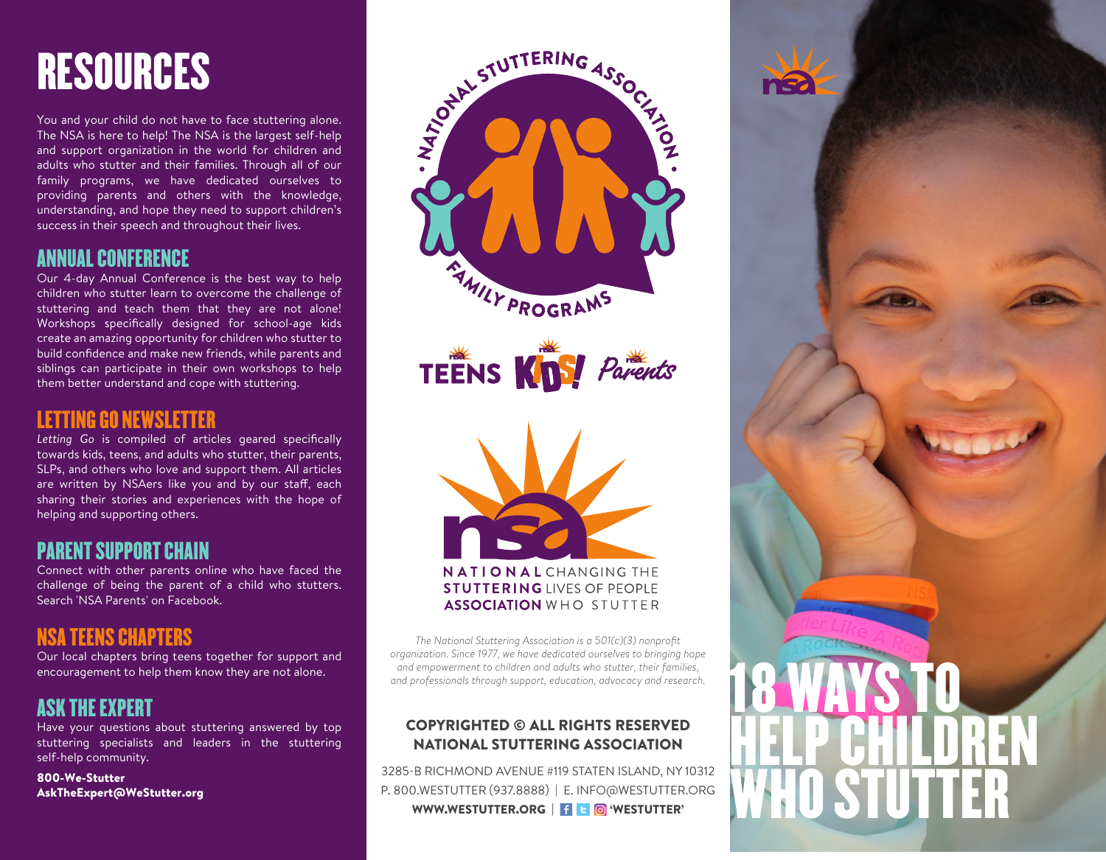# RESOURCES

You and your child do not have to face stuttering alone. The NSA is here to help! The NSA is the largest self-help and support organization in the world for children and adults who stutter and their families. Through all of our family programs, we have dedicated ourselves to providing parents and others with the knowledge, understanding, and hope they need to support children's success in their speech and throughout their lives.

#### ANNUAL CONFERENCE

Our 4-day Annual Conference is the best way to help children who stutter learn to overcome the challenge of stuttering and teach them that they are not alone! Workshops specifically designed for school-age kids create an amazing opportunity for children who stutter to build confidence and make new friends, while parents and siblings can participate in their own workshops to help them better understand and cope with stuttering.

#### LETTING GO NEWSLETTER

*Letting Go* is compiled of articles geared specifically towards kids, teens, and adults who stutter, their parents, SLPs, and others who love and support them. All articles are written by NSAers like you and by our staff, each sharing their stories and experiences with the hope of helping and supporting others.

#### PARENT SUPPORT CHAIN

Connect with other parents online who have faced the challenge of being the parent of a child who stutters. Search 'NSA Parents' on Facebook.

# NSA TEENS CHAPTERS

Our local chapters bring teens together for support and encouragement to help them know they are not alone.

# ASK THE EXPERT

Have your questions about stuttering answered by top stuttering specialists and leaders in the stuttering self-help community.

800-We-Stutter AskTheExpert@WeStutter.org







*The National Stuttering Association is a 501(c)(3) nonprofit organization. Since 1977, we have dedicated ourselves to bringing hope and empowerment to children and adults who stutter, their families, and professionals through support, education, advocacy and research.*

#### COPYRIGHTED © ALL RIGHTS RESERVED NATIONAL STUTTERING ASSOCIATION

3285-B RICHMOND AVENUE #119 STATEN ISLAND, NY 10312 P. 800.WESTUTTER (937.8888) | E. INFO@WESTUTTER.ORG WWW.WESTUTTER.ORG | <sup>[</sup> | **c** | 6 WESTUTTER'